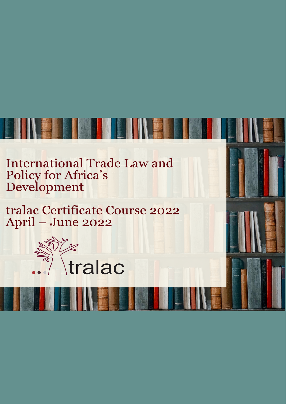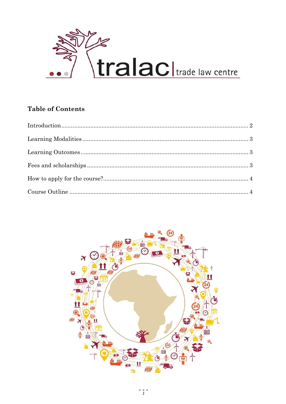

## **Table of Contents**

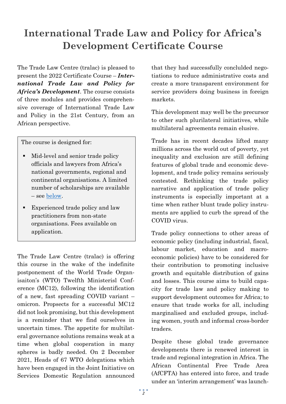# <span id="page-2-0"></span>**International Trade Law and Policy for Africa's Development Certificate Course**

The Trade Law Centre (tralac) is pleased to present the 2022 Certificate Course – *International Trade Law and Policy for Africa's Development*. The course consists of three modules and provides comprehensive coverage of International Trade Law and Policy in the 21st Century, from an African perspective.

The course is designed for:

- Mid-level and senior trade policy officials and lawyers from Africa's national governments, regional and continental organisations. A limited number of scholarships are available – see [below.](#page-3-2)
- Experienced trade policy and law practitioners from non-state organisations. Fees available on application.

The Trade Law Centre (tralac) is offering this course in the wake of the indefinite postponement of the World Trade Organisaiton's (WTO) Twelfth Ministerisl Conference (MC12), following the identification of a new, fast spreading COVID variant – omicron. Propsects for a successful MC12 did not look promising, but this development is a reminder that we find ourselves in uncertain times. The appetite for multilateral governance solutions remains weak at a time when global cooperation in many spheres is badly needed. On 2 December 2021, Heads of 67 WTO delegations which have been engaged in the Joint Initiative on Services Domestic Regulation announced

that they had successfully conclulded negotiations to reduce administrative costs and create a more transparent environment for service providers doing business in foreign markets.

This development may well be the precursor to other such plurilateral initiatives, while multilateral agreements remain elusive.

Trade has in recent decades lifted many millions across the world out of poverty, yet inequality and exclusion are still defining features of global trade and economic development, and trade policy remains seriously contested. Rethinking the trade policy narrative and application of trade policy instruments is especially important at a time when rather blunt trade policy instruments are applied to curb the spread of the COVID virus.

Trade policy connections to other areas of economic policy (including industrial, fiscal, labour market, education and macroeconomic policies) have to be considered for their contribution to promoting inclusive growth and equitable distribution of gains and losses. This course aims to build capacity for trade law and policy making to support development outcomes for Africa; to ensure that trade works for all, including marginalised and excluded groups, including women, youth and informal cross-border traders.

Despite these global trade governance developments there is renewed interest in trade and regional integration in Africa. The African Continental Free Trade Area (AfCFTA) has entered into force, and trade under an 'interim arrangement' was launch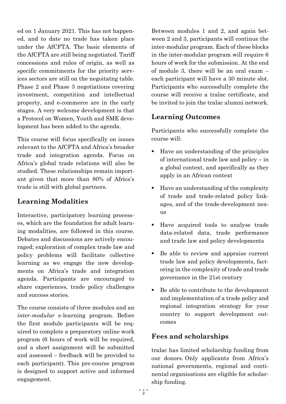ed on 1 January 2021. This has not happened, and to date no trade has taken place under the AfCFTA. The basic elements of the AfCFTA are still being negotiated. Tariff concessions and rules of origin, as well as specific commitments for the priority services sectors are still on the negoitatng table. Phase 2 and Phase 3 negotiations covering investment, competition and intellectual property, and e-commerce are in the early stages. A very welcome development is that a Protocol on Women, Youth and SME development has been added to the agenda.

This course will focus specifically on issues relevant to the AfCFTA and Africa's broader trade and integration agenda. Focus on Africa's global trade relations will also be studied. These relationships remain important given that more than 80% of Africa's trade is still with global partners.

## <span id="page-3-0"></span>**Learning Modalities**

Interactive, participatory learning processes, which are the foundation for adult learning modalities, are followed in this course. Debates and discussions are actively encouraged; exploration of complex trade law and policy problems will facilitate collective learning as we engage the new developments on Africa's trade and integration agenda. Participants are encouraged to share experiences, trade policy challenges and success stories.

The course consists of three modules and an *inter-modular* e-learning program. Before the first module participants will be required to complete a preparatory online work program (6 hours of work will be required, and a short assignment will be submitted and assessed – feedback will be provided to each participant). This pre-course program is designed to support active and informed engagement.

Between modules 1 and 2, and again between 2 and 3, participants will continue the inter-modular program. Each of these blocks in the inter-modular program will require 6 hours of work for the submission. At the end of module 3, there will be an oral exam – each participant will have a 30 minute slot. Participants who successfully complete the course will receive a tralac certificate, and be invited to join the tralac alumni network.

### <span id="page-3-1"></span>**Learning Outcomes**

Participants who successfully complete the course will:

- Have an understanding of the principles of international trade law and policy – in a global context, and specifically as they apply in an African context
- Have an understanding of the complexity of trade and trade-related policy linkages, and of the trade-development nexus
- Have acquired tools to analyse trade data-related data, trade performance and trade law and policy developments
- Be able to review and appraise current trade law and policy developments, factoring in the complexity of trade and trade governance in the 21st century
- Be able to contribute to the development and implementation of a trade policy and regional integration strategy for your country to support development outcomes

# <span id="page-3-2"></span>**Fees and scholarships**

tralac has limited scholarship funding from our donors. Only applicants from Africa's national governments, regional and continental organisations are eligible for scholarship funding.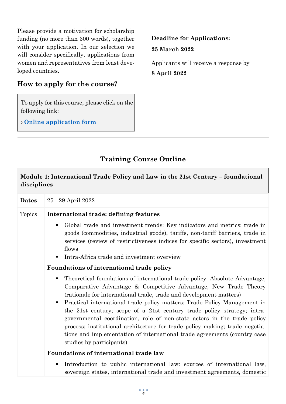Please provide a motivation for scholarship funding (no more than 300 words), together with your application. In our selection we will consider specifically, applications from women and representatives from least developed countries.

# <span id="page-4-0"></span>**How to apply for the course?**

To apply for this course, please click on the following link:

› **[Online application form](https://tralacsa.classe365.com/form/view/certificatecourse)**

**Deadline for Applications: 25 March 2022**

Applicants will receive a response by **8 April 2022**

# **Training Course Outline**

<span id="page-4-1"></span>

| Module 1: International Trade Policy and Law in the 21st Century - foundational<br>disciplines |                                                                                                                                                                                                                                                                                                                                                                                                                                                                                                                                                                                                                                                                     |  |
|------------------------------------------------------------------------------------------------|---------------------------------------------------------------------------------------------------------------------------------------------------------------------------------------------------------------------------------------------------------------------------------------------------------------------------------------------------------------------------------------------------------------------------------------------------------------------------------------------------------------------------------------------------------------------------------------------------------------------------------------------------------------------|--|
| <b>Dates</b>                                                                                   | 25 - 29 April 2022                                                                                                                                                                                                                                                                                                                                                                                                                                                                                                                                                                                                                                                  |  |
| Topics                                                                                         | International trade: defining features                                                                                                                                                                                                                                                                                                                                                                                                                                                                                                                                                                                                                              |  |
|                                                                                                | Global trade and investment trends: Key indicators and metrics: trade in<br>٠<br>goods (commodities, industrial goods), tariffs, non-tariff barriers, trade in<br>services (review of restrictiveness indices for specific sectors), investment<br>flows                                                                                                                                                                                                                                                                                                                                                                                                            |  |
|                                                                                                | Intra-Africa trade and investment overview                                                                                                                                                                                                                                                                                                                                                                                                                                                                                                                                                                                                                          |  |
|                                                                                                | Foundations of international trade policy                                                                                                                                                                                                                                                                                                                                                                                                                                                                                                                                                                                                                           |  |
|                                                                                                | Theoretical foundations of international trade policy: Absolute Advantage,<br>٠<br>Comparative Advantage & Competitive Advantage, New Trade Theory<br>(rationale for international trade, trade and development matters)<br>Practical international trade policy matters: Trade Policy Management in<br>$\blacksquare$<br>the 21st century; scope of a 21st century trade policy strategy; intra-<br>governmental coordination, role of non-state actors in the trade policy<br>process; institutional architecture for trade policy making; trade negotia-<br>tions and implementation of international trade agreements (country case<br>studies by participants) |  |
|                                                                                                | Foundations of international trade law                                                                                                                                                                                                                                                                                                                                                                                                                                                                                                                                                                                                                              |  |
|                                                                                                | Introduction to public international law: sources of international law,<br>$\blacksquare$<br>sovereign states, international trade and investment agreements, domestic                                                                                                                                                                                                                                                                                                                                                                                                                                                                                              |  |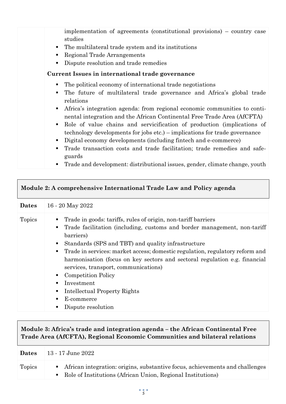implementation of agreements (constitutional provisions) – country case studies

- The multilateral trade system and its institutions
- Regional Trade Arrangements
- Dispute resolution and trade remedies

#### **Current Issues in international trade governance**

- The political economy of international trade negotiations
- The future of multilateral trade governance and Africa's global trade relations
- Africa's integration agenda: from regional economic communities to continental integration and the African Continental Free Trade Area (AfCFTA)
- Role of value chains and servicification of production (implications of technology developments for jobs etc.) – implications for trade governance
- Digital economy developments (including fintech and e-commerce)
- Trade transaction costs and trade facilitation; trade remedies and safeguards
- Trade and development: distributional issues, gender, climate change, youth

| Module 2: A comprehensive International Trade Law and Policy agenda |                                                                                                                                                                                                                                                                                                                                                                                                                                                                                                                                                                           |  |
|---------------------------------------------------------------------|---------------------------------------------------------------------------------------------------------------------------------------------------------------------------------------------------------------------------------------------------------------------------------------------------------------------------------------------------------------------------------------------------------------------------------------------------------------------------------------------------------------------------------------------------------------------------|--|
| <b>Dates</b>                                                        | 16 - 20 May 2022                                                                                                                                                                                                                                                                                                                                                                                                                                                                                                                                                          |  |
| <b>Topics</b>                                                       | Trade in goods: tariffs, rules of origin, non-tariff barriers<br>п<br>Trade facilitation (including, customs and border management, non-tariff<br>٠<br>barriers)<br>Standards (SPS and TBT) and quality infrastructure<br>٠<br>Trade in services: market access; domestic regulation, regulatory reform and<br>harmonisation (focus on key sectors and sectoral regulation e.g. financial<br>services, transport, communications)<br><b>Competition Policy</b><br>٠<br>Investment<br>п<br>Intellectual Property Rights<br>п<br>E-commerce<br>٠<br>Dispute resolution<br>٠ |  |

### **Module 3: Africa's trade and integration agenda – the African Continental Free Trade Area (AfCFTA), Regional Economic Communities and bilateral relations**

| <b>Dates</b> | 13 - 17 June 2022                                                                                                                               |
|--------------|-------------------------------------------------------------------------------------------------------------------------------------------------|
| Topics       | • African integration: origins, substantive focus, achievements and challenges<br>• Role of Institutions (African Union, Regional Institutions) |